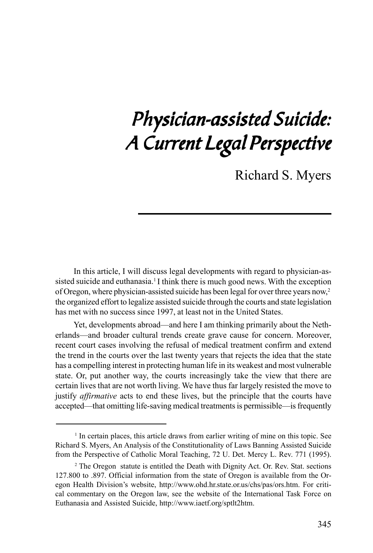## Physician-assisted Suicide: A Current Legal Perspective

Richard S. Myers

In this article, I will discuss legal developments with regard to physician-assisted suicide and euthanasia.<sup>1</sup> I think there is much good news. With the exception of Oregon, where physician-assisted suicide has been legal for over three years now,2 the organized effort to legalize assisted suicide through the courts and state legislation has met with no success since 1997, at least not in the United States.

Yet, developments abroad—and here I am thinking primarily about the Netherlands—and broader cultural trends create grave cause for concern. Moreover, recent court cases involving the refusal of medical treatment confirm and extend the trend in the courts over the last twenty years that rejects the idea that the state has a compelling interest in protecting human life in its weakest and most vulnerable state. Or, put another way, the courts increasingly take the view that there are certain lives that are not worth living. We have thus far largely resisted the move to justify *affirmative* acts to end these lives, but the principle that the courts have accepted—that omitting life-saving medical treatments is permissible—is frequently

<sup>&</sup>lt;sup>1</sup> In certain places, this article draws from earlier writing of mine on this topic. See Richard S. Myers, An Analysis of the Constitutionality of Laws Banning Assisted Suicide from the Perspective of Catholic Moral Teaching, 72 U. Det. Mercy L. Rev. 771 (1995).

<sup>&</sup>lt;sup>2</sup> The Oregon statute is entitled the Death with Dignity Act. Or. Rev. Stat. sections 127.800 to .897. Official information from the state of Oregon is available from the Oregon Health Division's website, http://www.ohd.hr.state.or.us/chs/pas/ors.htm. For critical commentary on the Oregon law, see the website of the International Task Force on Euthanasia and Assisted Suicide, http://www.iaetf.org/sptlt2htm.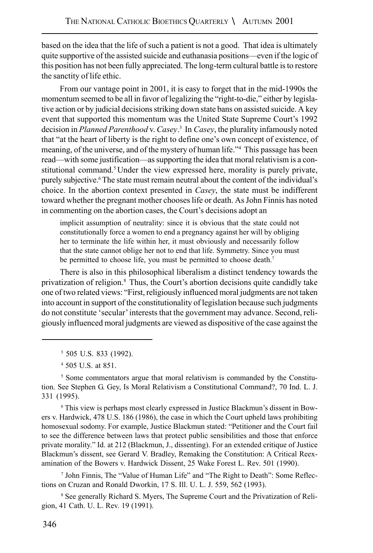based on the idea that the life of such a patient is not a good. That idea is ultimately quite supportive of the assisted suicide and euthanasia positions—even if the logic of this position has not been fully appreciated. The long-term cultural battle is to restore the sanctity of life ethic.

From our vantage point in 2001, it is easy to forget that in the mid-1990s the momentum seemed to be all in favor of legalizing the "right-to-die," either by legislative action or by judicial decisions striking down state bans on assisted suicide. A key event that supported this momentum was the United State Supreme Court's 1992 decision in *Planned Parenthood* v. *Casey*. 3 In *Casey*, the plurality infamously noted that "at the heart of liberty is the right to define one's own concept of existence, of meaning, of the universe, and of the mystery of human life."4 This passage has been read—with some justification—as supporting the idea that moral relativism is a constitutional command.<sup>5</sup> Under the view expressed here, morality is purely private, purely subjective.<sup>6</sup> The state must remain neutral about the content of the individual's choice. In the abortion context presented in *Casey*, the state must be indifferent toward whether the pregnant mother chooses life or death. As John Finnis has noted in commenting on the abortion cases, the Court's decisions adopt an

implicit assumption of neutrality: since it is obvious that the state could not constitutionally force a women to end a pregnancy against her will by obliging her to terminate the life within her, it must obviously and necessarily follow that the state cannot oblige her not to end that life. Symmetry. Since you must be permitted to choose life, you must be permitted to choose death.<sup>7</sup>

There is also in this philosophical liberalism a distinct tendency towards the privatization of religion.<sup>8</sup> Thus, the Court's abortion decisions quite candidly take one of two related views: "First, religiously influenced moral judgments are not taken into account in support of the constitutionality of legislation because such judgments do not constitute 'secular' interests that the government may advance. Second, religiously influenced moral judgments are viewed as dispositive of the case against the

3 505 U.S. 833 (1992).

4 505 U.S. at 851.

<sup>5</sup> Some commentators argue that moral relativism is commanded by the Constitution. See Stephen G. Gey, Is Moral Relativism a Constitutional Command?, 70 Ind. L. J. 331 (1995).

6 This view is perhaps most clearly expressed in Justice Blackmun's dissent in Bowers v. Hardwick, 478 U.S. 186 (1986), the case in which the Court upheld laws prohibiting homosexual sodomy. For example, Justice Blackmun stated: "Petitioner and the Court fail to see the difference between laws that protect public sensibilities and those that enforce private morality." Id. at 212 (Blackmun, J., dissenting). For an extended critique of Justice Blackmun's dissent, see Gerard V. Bradley, Remaking the Constitution: A Critical Reexamination of the Bowers v. Hardwick Dissent, 25 Wake Forest L. Rev. 501 (1990).

<sup>7</sup> John Finnis, The "Value of Human Life" and "The Right to Death": Some Reflections on Cruzan and Ronald Dworkin, 17 S. Ill. U. L. J. 559, 562 (1993).

<sup>8</sup> See generally Richard S. Myers, The Supreme Court and the Privatization of Religion, 41 Cath. U. L. Rev. 19 (1991).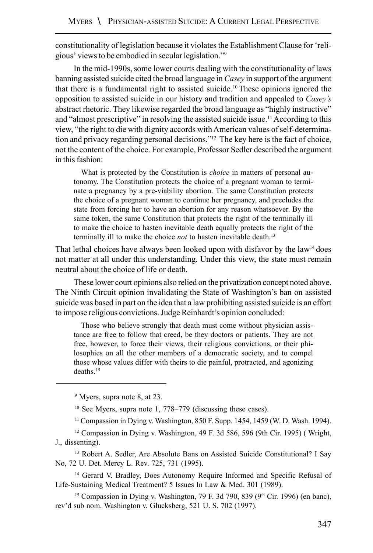constitutionality of legislation because it violates the Establishment Clause for 'religious' views to be embodied in secular legislation."9

In the mid-1990s, some lower courts dealing with the constitutionality of laws banning assisted suicide cited the broad language in *Casey* in support of the argument that there is a fundamental right to assisted suicide.<sup>10</sup>These opinions ignored the opposition to assisted suicide in our history and tradition and appealed to *Casey's* abstract rhetoric. They likewise regarded the broad language as "highly instructive" and "almost prescriptive" in resolving the assisted suicide issue.<sup>11</sup> According to this view, "the right to die with dignity accords with American values of self-determination and privacy regarding personal decisions."12 The key here is the fact of choice, not the content of the choice. For example, Professor Sedler described the argument in this fashion:

What is protected by the Constitution is *choice* in matters of personal autonomy. The Constitution protects the choice of a pregnant woman to terminate a pregnancy by a pre-viability abortion. The same Constitution protects the choice of a pregnant woman to continue her pregnancy, and precludes the state from forcing her to have an abortion for any reason whatsoever. By the same token, the same Constitution that protects the right of the terminally ill to make the choice to hasten inevitable death equally protects the right of the terminally ill to make the choice *not* to hasten inevitable death.13

That lethal choices have always been looked upon with disfavor by the law<sup>14</sup> does not matter at all under this understanding. Under this view, the state must remain neutral about the choice of life or death.

These lower court opinions also relied on the privatization concept noted above. The Ninth Circuit opinion invalidating the State of Washington's ban on assisted suicide was based in part on the idea that a law prohibiting assisted suicide is an effort to impose religious convictions. Judge Reinhardt's opinion concluded:

Those who believe strongly that death must come without physician assistance are free to follow that creed, be they doctors or patients. They are not free, however, to force their views, their religious convictions, or their philosophies on all the other members of a democratic society, and to compel those whose values differ with theirs to die painful, protracted, and agonizing deaths.15

<sup>9</sup> Myers, supra note 8, at 23.

10 See Myers, supra note 1, 778–779 (discussing these cases).

11 Compassion in Dying v. Washington, 850 F. Supp. 1454, 1459 (W. D. Wash. 1994).

 $12$  Compassion in Dying v. Washington, 49 F. 3d 586, 596 (9th Cir. 1995) (Wright, J., dissenting).

<sup>13</sup> Robert A. Sedler, Are Absolute Bans on Assisted Suicide Constitutional? I Say No, 72 U. Det. Mercy L. Rev. 725, 731 (1995).

<sup>14</sup> Gerard V. Bradley, Does Autonomy Require Informed and Specific Refusal of Life-Sustaining Medical Treatment? 5 Issues In Law & Med. 301 (1989).

<sup>15</sup> Compassion in Dying v. Washington, 79 F. 3d 790, 839 (9<sup>th</sup> Cir. 1996) (en banc), rev'd sub nom. Washington v. Glucksberg, 521 U. S. 702 (1997).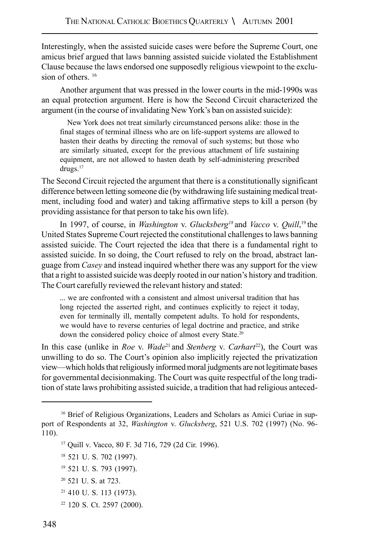Interestingly, when the assisted suicide cases were before the Supreme Court, one amicus brief argued that laws banning assisted suicide violated the Establishment Clause because the laws endorsed one supposedly religious viewpoint to the exclusion of others.  $16$ 

Another argument that was pressed in the lower courts in the mid-1990s was an equal protection argument. Here is how the Second Circuit characterized the argument (in the course of invalidating New York's ban on assisted suicide):

New York does not treat similarly circumstanced persons alike: those in the final stages of terminal illness who are on life-support systems are allowed to hasten their deaths by directing the removal of such systems; but those who are similarly situated, except for the previous attachment of life sustaining equipment, are not allowed to hasten death by self-administering prescribed drugs.<sup>17</sup>

The Second Circuit rejected the argument that there is a constitutionally significant difference between letting someone die (by withdrawing life sustaining medical treatment, including food and water) and taking affirmative steps to kill a person (by providing assistance for that person to take his own life).

In 1997, of course, in *Washington* v. *Glucksberg18* and *Vacco* v. *Quill*, <sup>19</sup> the United States Supreme Court rejected the constitutional challenges to laws banning assisted suicide. The Court rejected the idea that there is a fundamental right to assisted suicide. In so doing, the Court refused to rely on the broad, abstract language from *Casey* and instead inquired whether there was any support for the view that a right to assisted suicide was deeply rooted in our nation's history and tradition. The Court carefully reviewed the relevant history and stated:

... we are confronted with a consistent and almost universal tradition that has long rejected the asserted right, and continues explicitly to reject it today, even for terminally ill, mentally competent adults. To hold for respondents, we would have to reverse centuries of legal doctrine and practice, and strike down the considered policy choice of almost every State.<sup>20</sup>

In this case (unlike in *Roe* v. *Wade*<sup>21</sup> and *Stenberg* v. *Carhart*22), the Court was unwilling to do so. The Court's opinion also implicitly rejected the privatization view—which holds that religiously informed moral judgments are not legitimate bases for governmental decisionmaking. The Court was quite respectful of the long tradition of state laws prohibiting assisted suicide, a tradition that had religious anteced-

- 20 521 U. S. at 723.
- 21 410 U. S. 113 (1973).
- 22 120 S. Ct. 2597 (2000).

<sup>&</sup>lt;sup>16</sup> Brief of Religious Organizations, Leaders and Scholars as Amici Curiae in support of Respondents at 32, *Washington* v. *Glucksberg*, 521 U.S. 702 (1997) (No. 96- 110).

<sup>17</sup> Quill v. Vacco, 80 F. 3d 716, 729 (2d Cir. 1996).

<sup>18 521</sup> U. S. 702 (1997).

<sup>19 521</sup> U. S. 793 (1997).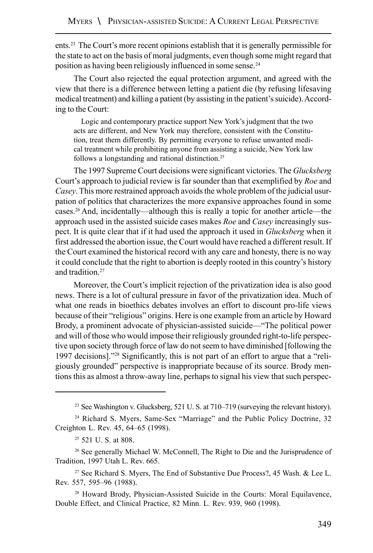ents.23 The Court's more recent opinions establish that it is generally permissible for the state to act on the basis of moral judgments, even though some might regard that position as having been religiously influenced in some sense.24

The Court also rejected the equal protection argument, and agreed with the view that there is a difference between letting a patient die (by refusing lifesaving medical treatment) and killing a patient (by assisting in the patient's suicide). According to the Court:

Logic and contemporary practice support New York's judgment that the two acts are different, and New York may therefore, consistent with the Constitution, treat them differently. By permitting everyone to refuse unwanted medical treatment while prohibiting anyone from assisting a suicide, New York law follows a longstanding and rational distinction.<sup>25</sup>

The 1997 Supreme Court decisions were significant victories. The *Glucksberg* Court's approach to judicial review is far sounder than that exemplified by *Roe* and *Casey*. This more restrained approach avoids the whole problem of the judicial usurpation of politics that characterizes the more expansive approaches found in some cases.26 And, incidentally—although this is really a topic for another article—the approach used in the assisted suicide cases makes *Roe* and *Casey* increasingly suspect. It is quite clear that if it had used the approach it used in *Glucksberg* when it first addressed the abortion issue, the Court would have reached a different result. If the Court examined the historical record with any care and honesty, there is no way it could conclude that the right to abortion is deeply rooted in this country's history and tradition.27

Moreover, the Court's implicit rejection of the privatization idea is also good news. There is a lot of cultural pressure in favor of the privatization idea. Much of what one reads in bioethics debates involves an effort to discount pro-life views because of their "religious" origins. Here is one example from an article by Howard Brody, a prominent advocate of physician-assisted suicide—"The political power and will of those who would impose their religiously grounded right-to-life perspective upon society through force of law do not seem to have diminished [following the 1997 decisions]."28 Significantly, this is not part of an effort to argue that a "religiously grounded" perspective is inappropriate because of its source. Brody mentions this as almost a throw-away line, perhaps to signal his view that such perspec-

<sup>&</sup>lt;sup>23</sup> See Washington v. Glucksberg, 521 U. S. at 710–719 (surveying the relevant history).

<sup>24</sup> Richard S. Myers, Same-Sex "Marriage" and the Public Policy Doctrine, 32 Creighton L. Rev. 45, 64–65 (1998).

<sup>25 521</sup> U. S. at 808.

<sup>26</sup> See generally Michael W. McConnell, The Right to Die and the Jurisprudence of Tradition, 1997 Utah L. Rev. 665.

<sup>&</sup>lt;sup>27</sup> See Richard S. Myers, The End of Substantive Due Process?, 45 Wash. & Lee L. Rev. 557, 595–96 (1988).

<sup>28</sup> Howard Brody, Physician-Assisted Suicide in the Courts: Moral Equilavence, Double Effect, and Clinical Practice, 82 Minn. L. Rev. 939, 960 (1998).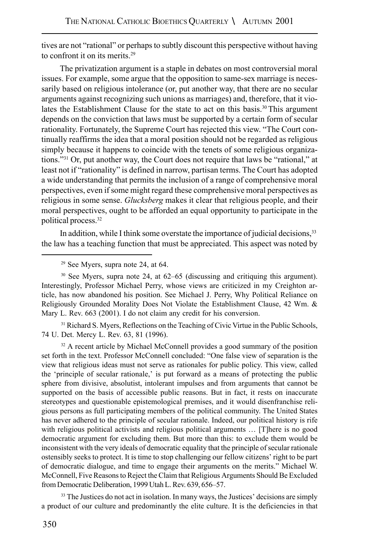tives are not "rational" or perhaps to subtly discount this perspective without having to confront it on its merits.29

The privatization argument is a staple in debates on most controversial moral issues. For example, some argue that the opposition to same-sex marriage is necessarily based on religious intolerance (or, put another way, that there are no secular arguments against recognizing such unions as marriages) and, therefore, that it violates the Establishment Clause for the state to act on this basis.30 This argument depends on the conviction that laws must be supported by a certain form of secular rationality. Fortunately, the Supreme Court has rejected this view. "The Court continually reaffirms the idea that a moral position should not be regarded as religious simply because it happens to coincide with the tenets of some religious organizations."31 Or, put another way, the Court does not require that laws be "rational," at least not if "rationality" is defined in narrow, partisan terms. The Court has adopted a wide understanding that permits the inclusion of a range of comprehensive moral perspectives, even if some might regard these comprehensive moral perspectives as religious in some sense. *Glucksberg* makes it clear that religious people, and their moral perspectives, ought to be afforded an equal opportunity to participate in the political process.32

In addition, while I think some overstate the importance of judicial decisions,<sup>33</sup> the law has a teaching function that must be appreciated. This aspect was noted by

<sup>31</sup> Richard S. Myers, Reflections on the Teaching of Civic Virtue in the Public Schools, 74 U. Det. Mercy L. Rev. 63, 81 (1996).

<sup>32</sup> A recent article by Michael McConnell provides a good summary of the position set forth in the text. Professor McConnell concluded: "One false view of separation is the view that religious ideas must not serve as rationales for public policy. This view, called the 'principle of secular rationale,' is put forward as a means of protecting the public sphere from divisive, absolutist, intolerant impulses and from arguments that cannot be supported on the basis of accessible public reasons. But in fact, it rests on inaccurate stereotypes and questionable epistemological premises, and it would disenfranchise religious persons as full participating members of the political community. The United States has never adhered to the principle of secular rationale. Indeed, our political history is rife with religious political activists and religious political arguments … [T]here is no good democratic argument for excluding them. But more than this: to exclude them would be inconsistent with the very ideals of democratic equality that the principle of secular rationale ostensibly seeks to protect. It is time to stop challenging our fellow citizens' right to be part of democratic dialogue, and time to engage their arguments on the merits." Michael W. McConnell, Five Reasons to Reject the Claim that Religious Arguments Should Be Excluded from Democratic Deliberation, 1999 Utah L. Rev. 639, 656–57.

<sup>33</sup> The Justices do not act in isolation. In many ways, the Justices' decisions are simply a product of our culture and predominantly the elite culture. It is the deficiencies in that

<sup>29</sup> See Myers, supra note 24, at 64.

<sup>30</sup> See Myers, supra note 24, at 62–65 (discussing and critiquing this argument). Interestingly, Professor Michael Perry, whose views are criticized in my Creighton article, has now abandoned his position. See Michael J. Perry, Why Political Reliance on Religiously Grounded Morality Does Not Violate the Establishment Clause, 42 Wm. & Mary L. Rev. 663 (2001). I do not claim any credit for his conversion.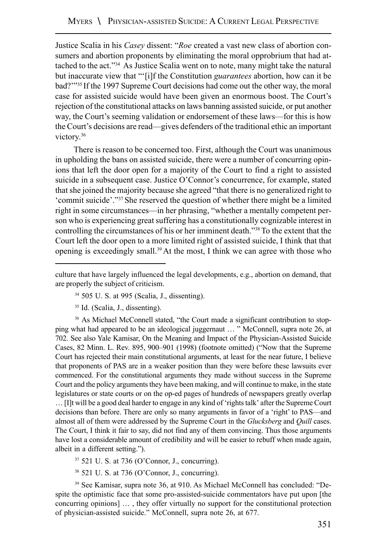Justice Scalia in his *Casey* dissent: "*Roe* created a vast new class of abortion consumers and abortion proponents by eliminating the moral opprobrium that had attached to the act."34 As Justice Scalia went on to note, many might take the natural but inaccurate view that "'[i]f the Constitution *guarantees* abortion, how can it be bad?'"35 If the 1997 Supreme Court decisions had come out the other way, the moral case for assisted suicide would have been given an enormous boost. The Court's rejection of the constitutional attacks on laws banning assisted suicide, or put another way, the Court's seeming validation or endorsement of these laws—for this is how the Court's decisions are read—gives defenders of the traditional ethic an important victory.<sup>36</sup>

There is reason to be concerned too. First, although the Court was unanimous in upholding the bans on assisted suicide, there were a number of concurring opinions that left the door open for a majority of the Court to find a right to assisted suicide in a subsequent case. Justice O'Connor's concurrence, for example, stated that she joined the majority because she agreed "that there is no generalized right to 'commit suicide'."37 She reserved the question of whether there might be a limited right in some circumstances—in her phrasing, "whether a mentally competent person who is experiencing great suffering has a constitutionally cognizable interest in controlling the circumstances of his or her imminent death."38 To the extent that the Court left the door open to a more limited right of assisted suicide, I think that that opening is exceedingly small.39At the most, I think we can agree with those who

35 Id. (Scalia, J., dissenting).

36 As Michael McConnell stated, "the Court made a significant contribution to stopping what had appeared to be an ideological juggernaut … " McConnell, supra note 26, at 702. See also Yale Kamisar, On the Meaning and Impact of the Physician-Assisted Suicide Cases, 82 Minn. L. Rev. 895, 900–901 (1998) (footnote omitted) ("Now that the Supreme Court has rejected their main constitutional arguments, at least for the near future, I believe that proponents of PAS are in a weaker position than they were before these lawsuits ever commenced. For the constitutional arguments they made without success in the Supreme Court and the policy arguments they have been making, and will continue to make, in the state legislatures or state courts or on the op-ed pages of hundreds of newspapers greatly overlap … [I]t will be a good deal harder to engage in any kind of 'rights talk' after the Supreme Court decisions than before. There are only so many arguments in favor of a 'right' to PAS—and almost all of them were addressed by the Supreme Court in the *Glucksberg* and *Quill* cases. The Court, I think it fair to say, did not find any of them convincing. Thus those arguments have lost a considerable amount of credibility and will be easier to rebuff when made again, albeit in a different setting.").

37 521 U. S. at 736 (O'Connor, J., concurring).

38 521 U. S. at 736 (O'Connor, J., concurring).

39 See Kamisar, supra note 36, at 910. As Michael McConnell has concluded: "Despite the optimistic face that some pro-assisted-suicide commentators have put upon [the concurring opinions] … , they offer virtually no support for the constitutional protection of physician-assisted suicide." McConnell, supra note 26, at 677.

culture that have largely influenced the legal developments, e.g., abortion on demand, that are properly the subject of criticism.

<sup>34 505</sup> U. S. at 995 (Scalia, J., dissenting).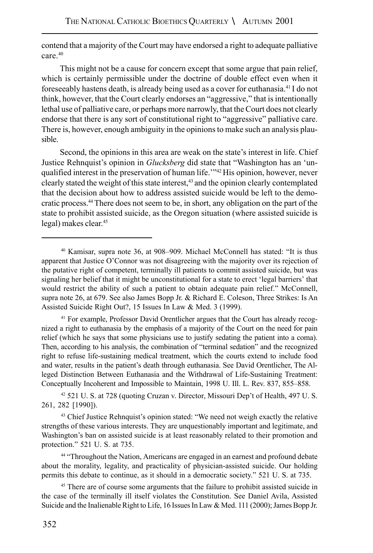contend that a majority of the Court may have endorsed a right to adequate palliative care.40

This might not be a cause for concern except that some argue that pain relief, which is certainly permissible under the doctrine of double effect even when it foreseeably hastens death, is already being used as a cover for euthanasia.41 I do not think, however, that the Court clearly endorses an "aggressive," that is intentionally lethal use of palliative care, or perhaps more narrowly, that the Court does not clearly endorse that there is any sort of constitutional right to "aggressive" palliative care. There is, however, enough ambiguity in the opinions to make such an analysis plausible.

Second, the opinions in this area are weak on the state's interest in life. Chief Justice Rehnquist's opinion in *Glucksberg* did state that "Washington has an 'unqualified interest in the preservation of human life.'"42 His opinion, however, never clearly stated the weight of this state interest,43 and the opinion clearly contemplated that the decision about how to address assisted suicide would be left to the democratic process.44There does not seem to be, in short, any obligation on the part of the state to prohibit assisted suicide, as the Oregon situation (where assisted suicide is legal) makes clear.45

41 For example, Professor David Orentlicher argues that the Court has already recognized a right to euthanasia by the emphasis of a majority of the Court on the need for pain relief (which he says that some physicians use to justify sedating the patient into a coma). Then, according to his analysis, the combination of "terminal sedation" and the recognized right to refuse life-sustaining medical treatment, which the courts extend to include food and water, results in the patient's death through euthanasia. See David Orentlicher, The Alleged Distinction Between Euthanasia and the Withdrawal of Life-Sustaining Treatment: Conceptually Incoherent and Impossible to Maintain, 1998 U. Ill. L. Rev. 837, 855–858.

42 521 U. S. at 728 (quoting Cruzan v. Director, Missouri Dep't of Health, 497 U. S. 261, 282 [1990]).

43 Chief Justice Rehnquist's opinion stated: "We need not weigh exactly the relative strengths of these various interests. They are unquestionably important and legitimate, and Washington's ban on assisted suicide is at least reasonably related to their promotion and protection." 521 U. S. at 735.

<sup>44</sup> "Throughout the Nation, Americans are engaged in an earnest and profound debate about the morality, legality, and practicality of physician-assisted suicide. Our holding permits this debate to continue, as it should in a democratic society." 521 U. S. at 735.

<sup>45</sup> There are of course some arguments that the failure to prohibit assisted suicide in the case of the terminally ill itself violates the Constitution. See Daniel Avila, Assisted Suicide and the Inalienable Right to Life, 16 Issues In Law & Med. 111 (2000); James Bopp Jr.

<sup>40</sup> Kamisar, supra note 36, at 908–909. Michael McConnell has stated: "It is thus apparent that Justice O'Connor was not disagreeing with the majority over its rejection of the putative right of competent, terminally ill patients to commit assisted suicide, but was signaling her belief that it might be unconstitutional for a state to erect 'legal barriers' that would restrict the ability of such a patient to obtain adequate pain relief." McConnell, supra note 26, at 679. See also James Bopp Jr. & Richard E. Coleson, Three Strikes: Is An Assisted Suicide Right Out?, 15 Issues In Law & Med. 3 (1999).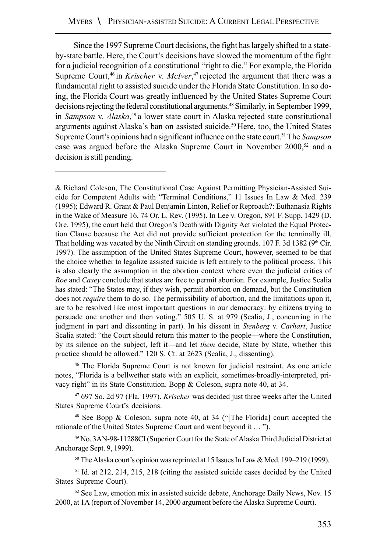Since the 1997 Supreme Court decisions, the fight has largely shifted to a stateby-state battle. Here, the Court's decisions have slowed the momentum of the fight for a judicial recognition of a constitutional "right to die." For example, the Florida Supreme Court,<sup>46</sup> in *Krischer* v. *McIver*,<sup>47</sup> rejected the argument that there was a fundamental right to assisted suicide under the Florida State Constitution. In so doing, the Florida Court was greatly influenced by the United States Supreme Court decisions rejecting the federal constitutional arguments.48 Similarly, in September 1999, in *Sampson* v. *Alaska*, <sup>49</sup> a lower state court in Alaska rejected state constitutional arguments against Alaska's ban on assisted suicide.<sup>50</sup> Here, too, the United States Supreme Court's opinions had a significant influence on the state court.51The *Sampson* case was argued before the Alaska Supreme Court in November 2000,<sup>52</sup> and a decision is still pending.

& Richard Coleson, The Constitutional Case Against Permitting Physician-Assisted Suicide for Competent Adults with "Terminal Conditions," 11 Issues In Law & Med. 239 (1995); Edward R. Grant & Paul Benjamin Linton, Relief or Reproach?: Euthanasia Rights in the Wake of Measure 16, 74 Or. L. Rev. (1995). In Lee v. Oregon, 891 F. Supp. 1429 (D. Ore. 1995), the court held that Oregon's Death with Dignity Act violated the Equal Protection Clause because the Act did not provide sufficient protection for the terminally ill. That holding was vacated by the Ninth Circuit on standing grounds. 107 F. 3d 1382 ( $9<sup>th</sup>$  Cir. 1997). The assumption of the United States Supreme Court, however, seemed to be that the choice whether to legalize assisted suicide is left entirely to the political process. This is also clearly the assumption in the abortion context where even the judicial critics of *Roe* and *Casey* conclude that states are free to permit abortion. For example, Justice Scalia has stated: "The States may, if they wish, permit abortion on demand, but the Constitution does not *require* them to do so. The permissibility of abortion, and the limitations upon it, are to be resolved like most important questions in our democracy: by citizens trying to persuade one another and then voting." 505 U. S. at 979 (Scalia, J., concurring in the judgment in part and dissenting in part). In his dissent in *Stenberg* v. *Carhart*, Justice Scalia stated: "the Court should return this matter to the people—where the Constitution, by its silence on the subject, left it—and let *them* decide, State by State, whether this practice should be allowed." 120 S. Ct. at 2623 (Scalia, J., dissenting).

46 The Florida Supreme Court is not known for judicial restraint. As one article notes, "Florida is a bellwether state with an explicit, sometimes-broadly-interpreted, privacy right" in its State Constitution. Bopp & Coleson, supra note 40, at 34.

47 697 So. 2d 97 (Fla. 1997). *Krischer* was decided just three weeks after the United States Supreme Court's decisions.

<sup>48</sup> See Bopp & Coleson, supra note 40, at 34 ("The Florida] court accepted the rationale of the United States Supreme Court and went beyond it … ").

49 No. 3AN-98-11288CI (Superior Court for the State of Alaska Third Judicial District at Anchorage Sept. 9, 1999).

50 The Alaska court's opinion was reprinted at 15 Issues In Law & Med. 199–219 (1999).

51 Id. at 212, 214, 215, 218 (citing the assisted suicide cases decided by the United States Supreme Court).

 $52$  See Law, emotion mix in assisted suicide debate, Anchorage Daily News, Nov. 15 2000, at 1A (report of November 14, 2000 argument before the Alaska Supreme Court).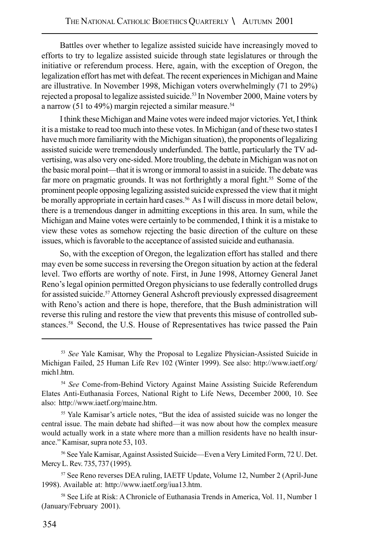Battles over whether to legalize assisted suicide have increasingly moved to efforts to try to legalize assisted suicide through state legislatures or through the initiative or referendum process. Here, again, with the exception of Oregon, the legalization effort has met with defeat. The recent experiences in Michigan and Maine are illustrative. In November 1998, Michigan voters overwhelmingly (71 to 29%) rejected a proposal to legalize assisted suicide.<sup>53</sup> In November 2000, Maine voters by a narrow (51 to 49%) margin rejected a similar measure.<sup>54</sup>

I think these Michigan and Maine votes were indeed major victories. Yet, I think it is a mistake to read too much into these votes. In Michigan (and of these two states I have much more familiarity with the Michigan situation), the proponents of legalizing assisted suicide were tremendously underfunded. The battle, particularly the TV advertising, was also very one-sided. More troubling, the debate in Michigan was not on the basic moral point—that it is wrong or immoral to assist in a suicide. The debate was far more on pragmatic grounds. It was not forthrightly a moral fight.<sup>55</sup> Some of the prominent people opposing legalizing assisted suicide expressed the view that it might be morally appropriate in certain hard cases.<sup>56</sup> As I will discuss in more detail below, there is a tremendous danger in admitting exceptions in this area. In sum, while the Michigan and Maine votes were certainly to be commended, I think it is a mistake to view these votes as somehow rejecting the basic direction of the culture on these issues, which is favorable to the acceptance of assisted suicide and euthanasia.

So, with the exception of Oregon, the legalization effort has stalled and there may even be some success in reversing the Oregon situation by action at the federal level. Two efforts are worthy of note. First, in June 1998, Attorney General Janet Reno's legal opinion permitted Oregon physicians to use federally controlled drugs for assisted suicide.57Attorney General Ashcroft previously expressed disagreement with Reno's action and there is hope, therefore, that the Bush administration will reverse this ruling and restore the view that prevents this misuse of controlled substances.58 Second, the U.S. House of Representatives has twice passed the Pain

<sup>53</sup> *See* Yale Kamisar, Why the Proposal to Legalize Physician-Assisted Suicide in Michigan Failed, 25 Human Life Rev 102 (Winter 1999). See also: http://www.iaetf.org/ mich1.htm.

<sup>54</sup> *See* Come-from-Behind Victory Against Maine Assisting Suicide Referendum Elates Anti-Euthanasia Forces, National Right to Life News, December 2000, 10. See also: http://www.iaetf.org/maine.htm.

<sup>55</sup> Yale Kamisar's article notes, "But the idea of assisted suicide was no longer the central issue. The main debate had shifted—it was now about how the complex measure would actually work in a state where more than a million residents have no health insurance." Kamisar, supra note 53, 103.

<sup>56</sup> See Yale Kamisar, Against Assisted Suicide—Even a Very Limited Form, 72 U. Det. Mercy L. Rev. 735, 737 (1995).

<sup>57</sup> See Reno reverses DEA ruling, IAETF Update, Volume 12, Number 2 (April-June 1998). Available at: http://www.iaetf.org/iua13.htm.

<sup>58</sup> See Life at Risk: A Chronicle of Euthanasia Trends in America, Vol. 11, Number 1 (January/February 2001).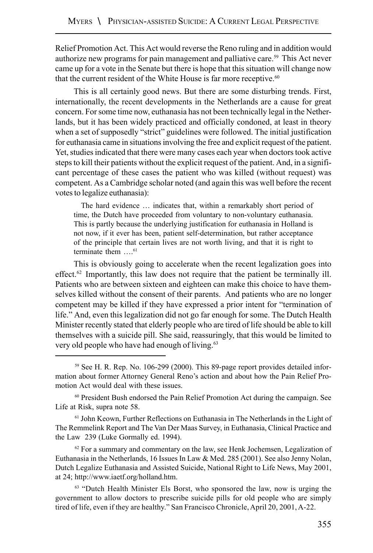Relief Promotion Act. This Act would reverse the Reno ruling and in addition would authorize new programs for pain management and palliative care.59 This Act never came up for a vote in the Senate but there is hope that this situation will change now that the current resident of the White House is far more receptive.<sup>60</sup>

This is all certainly good news. But there are some disturbing trends. First, internationally, the recent developments in the Netherlands are a cause for great concern. For some time now, euthanasia has not been technically legal in the Netherlands, but it has been widely practiced and officially condoned, at least in theory when a set of supposedly "strict" guidelines were followed. The initial justification for euthanasia came in situations involving the free and explicit request of the patient. Yet, studies indicated that there were many cases each year when doctors took active steps to kill their patients without the explicit request of the patient. And, in a significant percentage of these cases the patient who was killed (without request) was competent. As a Cambridge scholar noted (and again this was well before the recent votes to legalize euthanasia):

The hard evidence … indicates that, within a remarkably short period of time, the Dutch have proceeded from voluntary to non-voluntary euthanasia. This is partly because the underlying justification for euthanasia in Holland is not now, if it ever has been, patient self-determination, but rather acceptance of the principle that certain lives are not worth living, and that it is right to terminate them  $\dots$ <sup>61</sup>

This is obviously going to accelerate when the recent legalization goes into effect.<sup>62</sup> Importantly, this law does not require that the patient be terminally ill. Patients who are between sixteen and eighteen can make this choice to have themselves killed without the consent of their parents. And patients who are no longer competent may be killed if they have expressed a prior intent for "termination of life." And, even this legalization did not go far enough for some. The Dutch Health Minister recently stated that elderly people who are tired of life should be able to kill themselves with a suicide pill. She said, reassuringly, that this would be limited to very old people who have had enough of living.<sup>63</sup>

59 See H. R. Rep. No. 106-299 (2000). This 89-page report provides detailed information about former Attorney General Reno's action and about how the Pain Relief Promotion Act would deal with these issues.

60 President Bush endorsed the Pain Relief Promotion Act during the campaign. See Life at Risk, supra note 58.

61 John Keown, Further Reflections on Euthanasia in The Netherlands in the Light of The Remmelink Report and The Van Der Maas Survey, in Euthanasia, Clinical Practice and the Law 239 (Luke Gormally ed. 1994).

 $62$  For a summary and commentary on the law, see Henk Jochemsen, Legalization of Euthanasia in the Netherlands, 16 Issues In Law & Med. 285 (2001). See also Jenny Nolan, Dutch Legalize Euthanasia and Assisted Suicide, National Right to Life News, May 2001, at 24; http://www.iaetf.org/holland.htm.

<sup>63</sup> "Dutch Health Minister Els Borst, who sponsored the law, now is urging the government to allow doctors to prescribe suicide pills for old people who are simply tired of life, even if they are healthy." San Francisco Chronicle, April 20, 2001, A-22.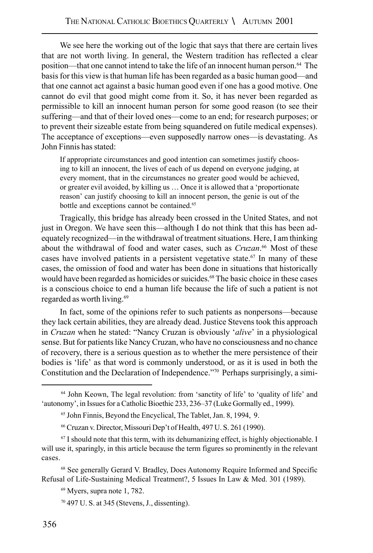We see here the working out of the logic that says that there are certain lives that are not worth living. In general, the Western tradition has reflected a clear position—that one cannot intend to take the life of an innocent human person.64 The basis for this view is that human life has been regarded as a basic human good—and that one cannot act against a basic human good even if one has a good motive. One cannot do evil that good might come from it. So, it has never been regarded as permissible to kill an innocent human person for some good reason (to see their suffering—and that of their loved ones—come to an end; for research purposes; or to prevent their sizeable estate from being squandered on futile medical expenses). The acceptance of exceptions—even supposedly narrow ones—is devastating. As John Finnis has stated:

If appropriate circumstances and good intention can sometimes justify choosing to kill an innocent, the lives of each of us depend on everyone judging, at every moment, that in the circumstances no greater good would be achieved, or greater evil avoided, by killing us … Once it is allowed that a 'proportionate reason' can justify choosing to kill an innocent person, the genie is out of the bottle and exceptions cannot be contained.<sup>65</sup>

Tragically, this bridge has already been crossed in the United States, and not just in Oregon. We have seen this—although I do not think that this has been adequately recognized—in the withdrawal of treatment situations. Here, I am thinking about the withdrawal of food and water cases, such as *Cruzan*. 66 Most of these cases have involved patients in a persistent vegetative state.<sup>67</sup> In many of these cases, the omission of food and water has been done in situations that historically would have been regarded as homicides or suicides.<sup>68</sup> The basic choice in these cases is a conscious choice to end a human life because the life of such a patient is not regarded as worth living.<sup>69</sup>

In fact, some of the opinions refer to such patients as nonpersons—because they lack certain abilities, they are already dead. Justice Stevens took this approach in *Cruzan* when he stated: "Nancy Cruzan is obviously '*alive*' in a physiological sense. But for patients like Nancy Cruzan, who have no consciousness and no chance of recovery, there is a serious question as to whether the mere persistence of their bodies is 'life' as that word is commonly understood, or as it is used in both the Constitution and the Declaration of Independence."70 Perhaps surprisingly, a simi-

68 See generally Gerard V. Bradley, Does Autonomy Require Informed and Specific Refusal of Life-Sustaining Medical Treatment?, 5 Issues In Law & Med. 301 (1989).

<sup>64</sup> John Keown, The legal revolution: from 'sanctity of life' to 'quality of life' and 'autonomy', in Issues for a Catholic Bioethic 233, 236–37 (Luke Gormally ed., 1999).

<sup>65</sup> John Finnis, Beyond the Encyclical, The Tablet, Jan. 8, 1994, 9.

<sup>66</sup> Cruzan v. Director, Missouri Dep't of Health, 497 U. S. 261 (1990).

 $67$  I should note that this term, with its dehumanizing effect, is highly objectionable. I will use it, sparingly, in this article because the term figures so prominently in the relevant cases.

<sup>69</sup> Myers, supra note 1, 782.

<sup>70 497</sup> U. S. at 345 (Stevens, J., dissenting).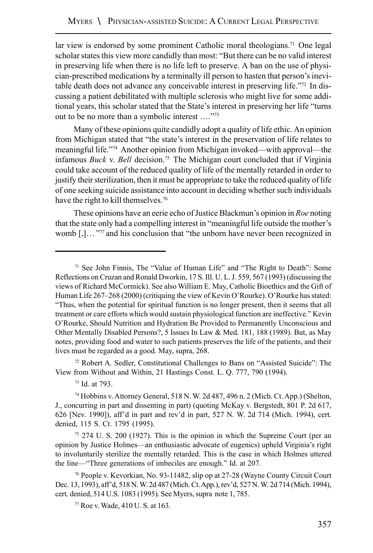lar view is endorsed by some prominent Catholic moral theologians.<sup>71</sup> One legal scholar states this view more candidly than most: "But there can be no valid interest in preserving life when there is no life left to preserve. A ban on the use of physician-prescribed medications by a terminally ill person to hasten that person's inevitable death does not advance any conceivable interest in preserving life."72 In discussing a patient debilitated with multiple sclerosis who might live for some additional years, this scholar stated that the State's interest in preserving her life "turns out to be no more than a symbolic interest …."73

Many of these opinions quite candidly adopt a quality of life ethic. An opinion from Michigan stated that "the state's interest in the preservation of life relates to meaningful life."74 Another opinion from Michigan invoked—with approval—the infamous *Buck* v. *Bell* decision.75 The Michigan court concluded that if Virginia could take account of the reduced quality of life of the mentally retarded in order to justify their sterilization, then it must be appropriate to take the reduced quality of life of one seeking suicide assistance into account in deciding whether such individuals have the right to kill themselves.<sup>76</sup>

These opinions have an eerie echo of Justice Blackmun's opinion in *Roe* noting that the state only had a compelling interest in "meaningful life outside the mother's womb  $[,]...$ <sup>777</sup> and his conclusion that "the unborn have never been recognized in

72 Robert A. Sedler, Constitutional Challenges to Bans on "Assisted Suicide": The View from Without and Within, 21 Hastings Const. L. Q. 777, 790 (1994).

 $75$  274 U. S. 200 (1927). This is the opinion in which the Supreme Court (per an opinion by Justice Holmes—an enthusiastic advocate of eugenics) upheld Virginia's right to involuntarily sterilize the mentally retarded. This is the case in which Holmes uttered the line—"Three generations of imbeciles are enough." Id. at 207.

76 People v. Kevorkian, No. 93-11482, slip op at 27-28 (Wayne County Circuit Court Dec. 13, 1993), aff'd, 518 N. W. 2d 487 (Mich. Ct. App.), rev'd, 527 N. W. 2d 714 (Mich. 1994), cert. denied, 514 U.S. 1083 (1995). See Myers, supra note 1, 785.

77 Roe v. Wade, 410 U. S. at 163.

<sup>71</sup> See John Finnis, The "Value of Human Life" and "The Right to Death": Some Reflections on Cruzan and Ronald Dworkin, 17 S. Ill. U. L. J. 559, 567 (1993) (discussing the views of Richard McCormick). See also William E. May, Catholic Bioethics and the Gift of Human Life 267–268 (2000) (critiquing the view of Kevin O'Rourke). O'Rourke has stated: "Thus, when the potential for spiritual function is no longer present, then it seems that all treatment or care efforts which would sustain physiological function are ineffective." Kevin O'Rourke, Should Nutrition and Hydration Be Provided to Permanently Unconscious and Other Mentally Disabled Persons?, 5 Issues In Law & Med. 181, 188 (1989). But, as May notes, providing food and water to such patients preserves the life of the patients, and their lives must be regarded as a good. May, supra, 268.

<sup>73</sup> Id. at 793.

<sup>74</sup> Hobbins v. Attorney General, 518 N. W. 2d 487, 496 n. 2 (Mich. Ct. App.) (Shelton, J., concurring in part and dissenting in part) (quoting McKay v. Bergstedt, 801 P. 2d 617, 626 [Nev. 1990]), aff'd in part and rev'd in part, 527 N. W. 2d 714 (Mich. 1994), cert. denied, 115 S. Ct. 1795 (1995).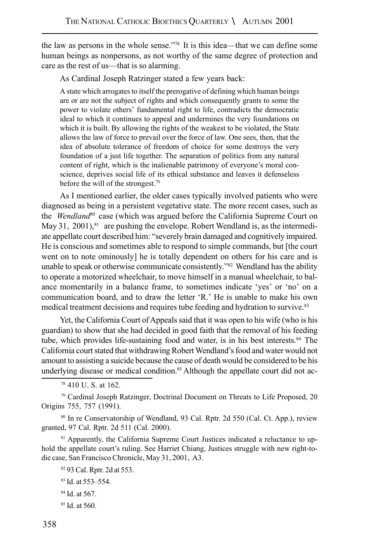the law as persons in the whole sense."78 It is this idea—that we can define some human beings as nonpersons, as not worthy of the same degree of protection and care as the rest of us—that is so alarming.

As Cardinal Joseph Ratzinger stated a few years back:

A state which arrogates to itself the prerogative of defining which human beings are or are not the subject of rights and which consequently grants to some the power to violate others' fundamental right to life, contradicts the democratic ideal to which it continues to appeal and undermines the very foundations on which it is built. By allowing the rights of the weakest to be violated, the State allows the law of force to prevail over the force of law. One sees, then, that the idea of absolute tolerance of freedom of choice for some destroys the very foundation of a just life together. The separation of politics from any natural content of right, which is the inalienable patrimony of everyone's moral conscience, deprives social life of its ethical substance and leaves it defenseless before the will of the strongest.<sup>79</sup>

As I mentioned earlier, the older cases typically involved patients who were diagnosed as being in a persistent vegetative state. The more recent cases, such as the *Wendland*80 case (which was argued before the California Supreme Court on May 31, 2001), $81$  are pushing the envelope. Robert Wendland is, as the intermediate appellate court described him: "severely brain damaged and cognitively impaired. He is conscious and sometimes able to respond to simple commands, but [the court went on to note ominously] he is totally dependent on others for his care and is unable to speak or otherwise communicate consistently."82 Wendland has the ability to operate a motorized wheelchair, to move himself in a manual wheelchair, to balance momentarily in a balance frame, to sometimes indicate 'yes' or 'no' on a communication board, and to draw the letter 'R.' He is unable to make his own medical treatment decisions and requires tube feeding and hydration to survive.<sup>83</sup>

Yet, the California Court of Appeals said that it was open to his wife (who is his guardian) to show that she had decided in good faith that the removal of his feeding tube, which provides life-sustaining food and water, is in his best interests.<sup>84</sup> The California court stated that withdrawing Robert Wendland's food and water would not amount to assisting a suicide because the cause of death would be considered to be his underlying disease or medical condition.<sup>85</sup> Although the appellate court did not ac-

79 Cardinal Joseph Ratzinger, Doctrinal Document on Threats to Life Proposed, 20 Origins 755, 757 (1991).

80 In re Conservatorship of Wendland, 93 Cal. Rptr. 2d 550 (Cal. Ct. App.), review granted, 97 Cal. Rptr. 2d 511 (Cal. 2000).

<sup>81</sup> Apparently, the California Supreme Court Justices indicated a reluctance to uphold the appellate court's ruling. See Harriet Chiang, Justices struggle with new right-todie case, San Francisco Chronicle, May 31, 2001, A3.

82 93 Cal. Rptr. 2d at 553.

83 Id. at 553–554.

- 84 Id. at 567.
- 85 Id. at 560.

<sup>78 410</sup> U. S. at 162.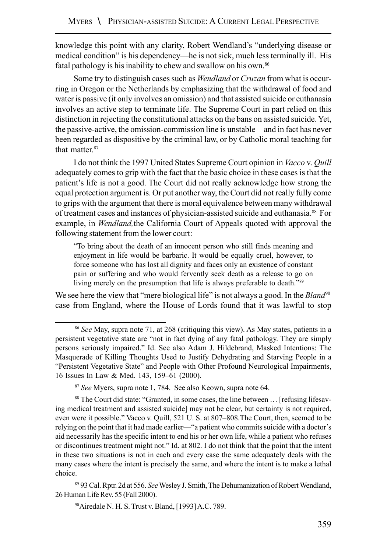knowledge this point with any clarity, Robert Wendland's "underlying disease or medical condition" is his dependency—he is not sick, much less terminally ill. His fatal pathology is his inability to chew and swallow on his own.86

Some try to distinguish cases such as *Wendland* or *Cruzan* from what is occurring in Oregon or the Netherlands by emphasizing that the withdrawal of food and water is passive (it only involves an omission) and that assisted suicide or euthanasia involves an active step to terminate life. The Supreme Court in part relied on this distinction in rejecting the constitutional attacks on the bans on assisted suicide. Yet, the passive-active, the omission-commission line is unstable—and in fact has never been regarded as dispositive by the criminal law, or by Catholic moral teaching for that matter.<sup>87</sup>

I do not think the 1997 United States Supreme Court opinion in *Vacco* v. *Quill* adequately comes to grip with the fact that the basic choice in these cases is that the patient's life is not a good. The Court did not really acknowledge how strong the equal protection argument is. Or put another way, the Court did not really fully come to grips with the argument that there is moral equivalence between many withdrawal of treatment cases and instances of physician-assisted suicide and euthanasia.88 For example, in *Wendland,*the California Court of Appeals quoted with approval the following statement from the lower court:

"To bring about the death of an innocent person who still finds meaning and enjoyment in life would be barbaric. It would be equally cruel, however, to force someone who has lost all dignity and faces only an existence of constant pain or suffering and who would fervently seek death as a release to go on living merely on the presumption that life is always preferable to death."89

We see here the view that "mere biological life" is not always a good. In the *Bland*<sup>90</sup> case from England, where the House of Lords found that it was lawful to stop

89 93 Cal. Rptr. 2d at 556. *See* Wesley J. Smith, The Dehumanization of Robert Wendland, 26 Human Life Rev. 55 (Fall 2000).

90Airedale N. H. S. Trust v. Bland, [1993] A.C. 789.

<sup>86</sup> *See* May, supra note 71, at 268 (critiquing this view). As May states, patients in a persistent vegetative state are "not in fact dying of any fatal pathology. They are simply persons seriously impaired." Id. See also Adam J. Hildebrand, Masked Intentions: The Masquerade of Killing Thoughts Used to Justify Dehydrating and Starving People in a "Persistent Vegetative State" and People with Other Profound Neurological Impairments, 16 Issues In Law & Med. 143, 159–61 (2000).

<sup>87</sup> *See* Myers, supra note 1, 784. See also Keown, supra note 64.

<sup>&</sup>lt;sup>88</sup> The Court did state: "Granted, in some cases, the line between ... [refusing lifesaving medical treatment and assisted suicide] may not be clear, but certainty is not required, even were it possible." Vacco v. Quill, 521 U. S. at 807–808.The Court, then, seemed to be relying on the point that it had made earlier—"a patient who commits suicide with a doctor's aid necessarily has the specific intent to end his or her own life, while a patient who refuses or discontinues treatment might not." Id. at 802. I do not think that the point that the intent in these two situations is not in each and every case the same adequately deals with the many cases where the intent is precisely the same, and where the intent is to make a lethal choice.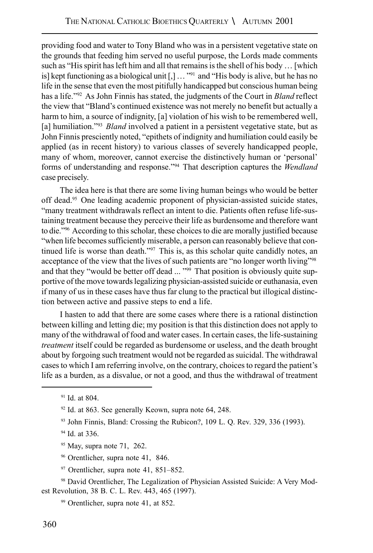providing food and water to Tony Bland who was in a persistent vegetative state on the grounds that feeding him served no useful purpose, the Lords made comments such as "His spirit has left him and all that remains is the shell of his body … [which is] kept functioning as a biological unit  $[, ] \dots$ <sup>991</sup> and "His body is alive, but he has no life in the sense that even the most pitifully handicapped but conscious human being has a life."92 As John Finnis has stated, the judgments of the Court in *Bland* reflect the view that "Bland's continued existence was not merely no benefit but actually a harm to him, a source of indignity, [a] violation of his wish to be remembered well, [a] humiliation."<sup>93</sup> *Bland* involved a patient in a persistent vegetative state, but as John Finnis presciently noted, "epithets of indignity and humiliation could easily be applied (as in recent history) to various classes of severely handicapped people, many of whom, moreover, cannot exercise the distinctively human or 'personal' forms of understanding and response."94 That description captures the *Wendland* case precisely.

The idea here is that there are some living human beings who would be better off dead.95 One leading academic proponent of physician-assisted suicide states, "many treatment withdrawals reflect an intent to die. Patients often refuse life-sustaining treatment because they perceive their life as burdensome and therefore want to die."96 According to this scholar, these choices to die are morally justified because "when life becomes sufficiently miserable, a person can reasonably believe that continued life is worse than death."97 This is, as this scholar quite candidly notes, an acceptance of the view that the lives of such patients are "no longer worth living"98 and that they "would be better off dead ... "99 That position is obviously quite supportive of the move towards legalizing physician-assisted suicide or euthanasia, even if many of us in these cases have thus far clung to the practical but illogical distinction between active and passive steps to end a life.

I hasten to add that there are some cases where there is a rational distinction between killing and letting die; my position is that this distinction does not apply to many of the withdrawal of food and water cases. In certain cases, the life-sustaining *treatment* itself could be regarded as burdensome or useless, and the death brought about by forgoing such treatment would not be regarded as suicidal. The withdrawal cases to which I am referring involve, on the contrary, choices to regard the patient's life as a burden, as a disvalue, or not a good, and thus the withdrawal of treatment

94 Id. at 336.

- 95 May, supra note 71, 262.
- 96 Orentlicher, supra note 41, 846.
- 97 Orentlicher, supra note 41, 851–852.

<sup>&</sup>lt;sup>91</sup> Id. at 804.

 $92$  Id. at 863. See generally Keown, supra note 64, 248.

<sup>93</sup> John Finnis, Bland: Crossing the Rubicon?, 109 L. Q. Rev. 329, 336 (1993).

<sup>98</sup> David Orentlicher, The Legalization of Physician Assisted Suicide: A Very Modest Revolution, 38 B. C. L. Rev. 443, 465 (1997).

<sup>99</sup> Orentlicher, supra note 41, at 852.